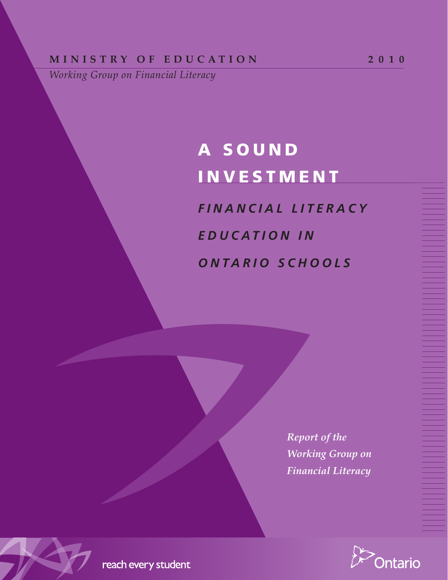# **MINISTRY OF EDUCATION** 2010

*Working Group on Financial Literacy*

# A S O U N D **INVESTMENT**

*F i n a n c i a l L i t e r a c y E d u c a t i o n i n O n t a r i o S c h o o l s*

> *Report of the Working Group on Financial Literacy*



reach every student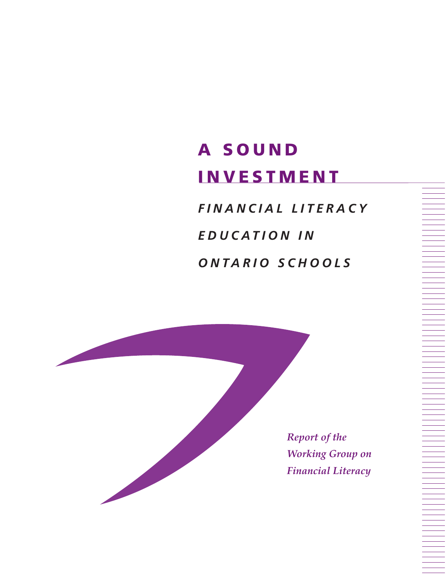# A S O U N D **INVESTMENT**

*F i n a n c i a l L i t e r a c y E d u c a t i o n i n O n t a r i o S c h o o l s*

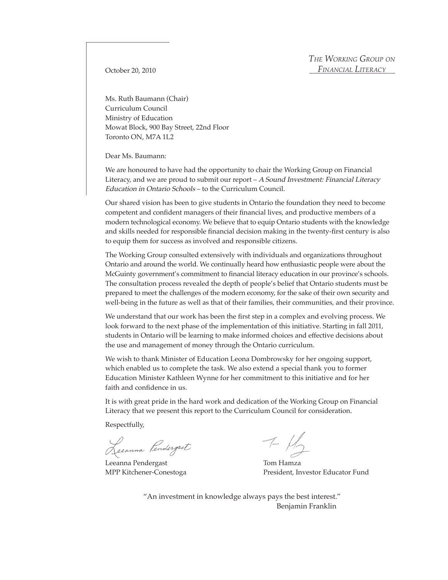October 20, 2010

Ms. Ruth Baumann (Chair) Curriculum Council Ministry of Education Mowat Block, 900 Bay Street, 22nd Floor Toronto ON, M7A 1L2

Dear Ms. Baumann:

We are honoured to have had the opportunity to chair the Working Group on Financial Literacy, and we are proud to submit our report  $-A$  Sound Investment: Financial Literacy Education in Ontario Schools – to the Curriculum Council.

Our shared vision has been to give students in Ontario the foundation they need to become competent and confident managers of their financial lives, and productive members of a modern technological economy. We believe that to equip Ontario students with the knowledge and skills needed for responsible financial decision making in the twenty-first century is also to equip them for success as involved and responsible citizens.

The Working Group consulted extensively with individuals and organizations throughout Ontario and around the world. We continually heard how enthusiastic people were about the McGuinty government's commitment to financial literacy education in our province's schools. The consultation process revealed the depth of people's belief that Ontario students must be prepared to meet the challenges of the modern economy, for the sake of their own security and well-being in the future as well as that of their families, their communities, and their province.

We understand that our work has been the first step in a complex and evolving process. We look forward to the next phase of the implementation of this initiative. Starting in fall 2011, students in Ontario will be learning to make informed choices and effective decisions about the use and management of money through the Ontario curriculum.

We wish to thank Minister of Education Leona Dombrowsky for her ongoing support, which enabled us to complete the task. We also extend a special thank you to former Education Minister Kathleen Wynne for her commitment to this initiative and for her faith and confidence in us.

It is with great pride in the hard work and dedication of the Working Group on Financial Literacy that we present this report to the Curriculum Council for consideration.

Respectfully,

Lecanna Pendergast

Leeanna Pendergast Tom Hamza

 $\tau$  Hz

MPP Kitchener-Conestoga President, Investor Educator Fund

"An investment in knowledge always pays the best interest." Benjamin Franklin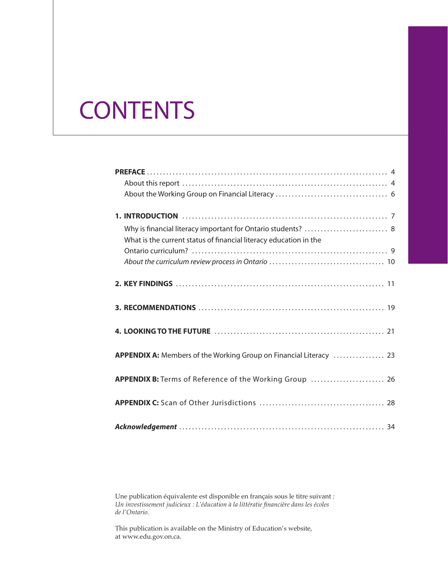# **CONTENTS**

| What is the current status of financial literacy education in the  |
|--------------------------------------------------------------------|
|                                                                    |
|                                                                    |
|                                                                    |
|                                                                    |
|                                                                    |
| APPENDIX A: Members of the Working Group on Financial Literacy  23 |
| APPENDIX B: Terms of Reference of the Working Group  26            |
|                                                                    |
|                                                                    |

Une publication équivalente est disponible en français sous le titre suivant : *Un investissement judicieux : L'éducation à la littératie financière dans les écoles de l'Ontario.*

This publication is available on the Ministry of Education's website, at www.edu.gov.on.ca.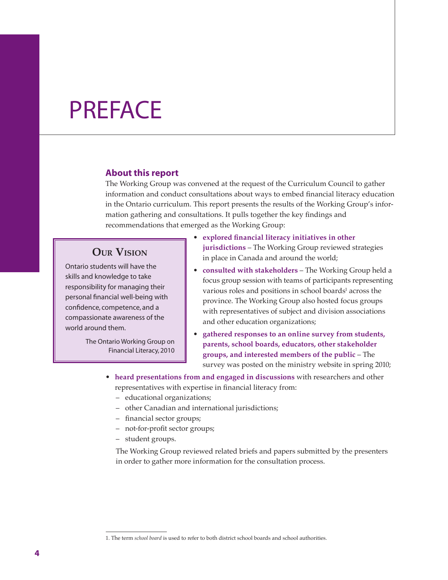# PREFACE

### **About this report**

The Working Group was convened at the request of the Curriculum Council to gather information and conduct consultations about ways to embed financial literacy education in the Ontario curriculum. This report presents the results of the Working Group's information gathering and consultations. It pulls together the key findings and recommendations that emerged as the Working Group:

# **Our Vision**

Ontario students will have the skills and knowledge to take responsibility for managing their personal financial well-being with confidence, competence, and a compassionate awareness of the world around them.

> The Ontario Working Group on Financial Literacy, 2010

- **explored financial literacy initiatives in other jurisdictions** – The Working Group reviewed strategies in place in Canada and around the world;
- **consulted with stakeholders** The Working Group held a focus group session with teams of participants representing various roles and positions in school boards<sup>1</sup> across the province. The Working Group also hosted focus groups with representatives of subject and division associations and other education organizations;
- **gathered responses to an online survey from students, parents, school boards, educators, other stakeholder groups, and interested members of the public** – The survey was posted on the ministry website in spring 2010;
- **heard presentations from and engaged in discussions** with researchers and other representatives with expertise in financial literacy from:
	- educational organizations;
	- other Canadian and international jurisdictions;
	- financial sector groups;
	- not-for-profit sector groups;
	- student groups.

The Working Group reviewed related briefs and papers submitted by the presenters in order to gather more information for the consultation process.

<sup>1.</sup> The term *school board* is used to refer to both district school boards and school authorities.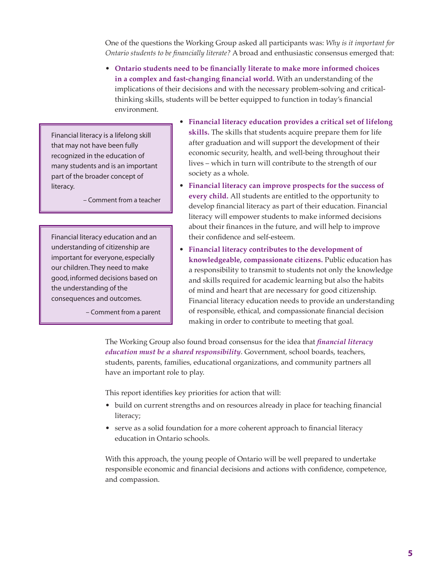One of the questions the Working Group asked all participants was: *Why is it important for Ontario students to be financially literate?* A broad and enthusiastic consensus emerged that:

• **Ontario students need to be financially literate to make more informed choices in a complex and fast-changing financial world.** With an understanding of the implications of their decisions and with the necessary problem-solving and criticalthinking skills, students will be better equipped to function in today's financial environment.

Financial literacy is a lifelong skill that may not have been fully recognized in the education of many students and is an important part of the broader concept of literacy.

– Comment from a teacher

Financial literacy education and an understanding of citizenship are important for everyone, especially our children.They need to make good, informed decisions based on the understanding of the consequences and outcomes.

– Comment from a parent

- **Financial literacy education provides a critical set of lifelong skills.** The skills that students acquire prepare them for life after graduation and will support the development of their economic security, health, and well-being throughout their lives – which in turn will contribute to the strength of our society as a whole.
- **Financial literacy can improve prospects for the success of every child.** All students are entitled to the opportunity to develop financial literacy as part of their education. Financial literacy will empower students to make informed decisions about their finances in the future, and will help to improve their confidence and self-esteem.
- **Financial literacy contributes to the development of knowledgeable, compassionate citizens.** Public education has a responsibility to transmit to students not only the knowledge and skills required for academic learning but also the habits of mind and heart that are necessary for good citizenship. Financial literacy education needs to provide an understanding of responsible, ethical, and compassionate financial decision making in order to contribute to meeting that goal.

The Working Group also found broad consensus for the idea that *financial literacy education must be a shared responsibility*. Government, school boards, teachers, students, parents, families, educational organizations, and community partners all have an important role to play.

This report identifies key priorities for action that will:

- build on current strengths and on resources already in place for teaching financial literacy;
- serve as a solid foundation for a more coherent approach to financial literacy education in Ontario schools.

With this approach, the young people of Ontario will be well prepared to undertake responsible economic and financial decisions and actions with confidence, competence, and compassion.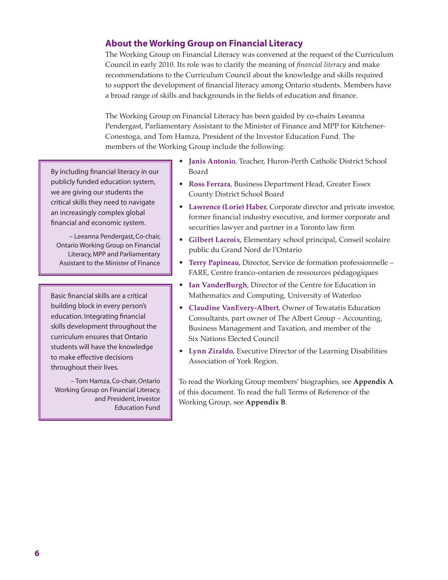# **About the Working Group on Financial Literacy**

The Working Group on Financial Literacy was convened at the request of the Curriculum Council in early 2010. Its role was to clarify the meaning of *financial literacy* and make recommendations to the Curriculum Council about the knowledge and skills required to support the development of financial literacy among Ontario students. Members have a broad range of skills and backgrounds in the fields of education and finance.

The Working Group on Financial Literacy has been guided by co-chairs Leeanna Pendergast, Parliamentary Assistant to the Minister of Finance and MPP for Kitchener-Conestoga, and Tom Hamza, President of the Investor Education Fund. The members of the Working Group include the following:

By including financial literacy in our publicly funded education system, we are giving our students the critical skills they need to navigate an increasingly complex global financial and economic system.

– Leeanna Pendergast, Co-chair, Ontario Working Group on Financial Literacy, MPP and Parliamentary Assistant to the Minister of Finance

Basic financial skills are a critical building block in every person's education. Integrating financial skills development throughout the curriculum ensures that Ontario students will have the knowledge to make effective decisions throughout their lives.

– Tom Hamza, Co-chair, Ontario Working Group on Financial Literacy, and President, Investor Education Fund

- **Janis Antonio**, Teacher, Huron-Perth Catholic District School Board
- **Ross Ferrara**, Business Department Head, Greater Essex County District School Board
- **Lawrence (Lorie) Haber**, Corporate director and private investor, former financial industry executive, and former corporate and securities lawyer and partner in a Toronto law firm
- **Gilbert Lacroix**, Elementary school principal, Conseil scolaire public du Grand Nord de l'Ontario
- **Terry Papineau**, Director, Service de formation professionnelle FARE, Centre franco-ontarien de ressources pédagogiques
- **Ian VanderBurgh**, Director of the Centre for Education in Mathematics and Computing, University of Waterloo
- **Claudine VanEvery-Albert**, Owner of Tewatatis Education Consultants, part owner of The Albert Group – Accounting, Business Management and Taxation, and member of the Six Nations Elected Council
- **Lynn Ziraldo**, Executive Director of the Learning Disabilities Association of York Region.

To read the Working Group members' biographies, see **Appendix A** of this document. To read the full Terms of Reference of the Working Group, see **Appendix B**.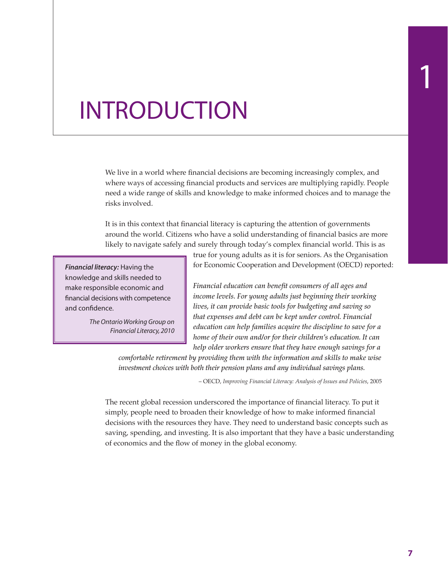# INTRODUCTION

We live in a world where financial decisions are becoming increasingly complex, and where ways of accessing financial products and services are multiplying rapidly. People need a wide range of skills and knowledge to make informed choices and to manage the risks involved.

It is in this context that financial literacy is capturing the attention of governments around the world. Citizens who have a solid understanding of financial basics are more likely to navigate safely and surely through today's complex financial world. This is as

*Financial literacy:* Having the knowledge and skills needed to make responsible economic and financial decisions with competence and confidence.

> *The Ontario Working Group on Financial Literacy, 2010*

true for young adults as it is for seniors. As the Organisation for Economic Cooperation and Development (OECD) reported:

*Financial education can benefit consumers of all ages and income levels. For young adults just beginning their working lives, it can provide basic tools for budgeting and saving so that expenses and debt can be kept under control. Financial education can help families acquire the discipline to save for a home of their own and/or for their children's education. It can help older workers ensure that they have enough savings for a* 

*comfortable retirement by providing them with the information and skills to make wise investment choices with both their pension plans and any individual savings plans.*

– OECD, *Improving Financial Literacy: Analysis of Issues and Policies*, 2005

The recent global recession underscored the importance of financial literacy. To put it simply, people need to broaden their knowledge of how to make informed financial decisions with the resources they have. They need to understand basic concepts such as saving, spending, and investing. It is also important that they have a basic understanding of economics and the flow of money in the global economy.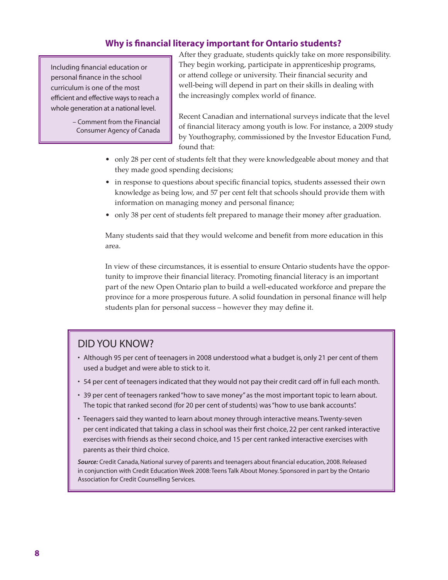# **Why is financial literacy important for Ontario students?**

Including financial education or personal finance in the school curriculum is one of the most efficient and effective ways to reach a whole generation at a national level.

> – Comment from the Financial Consumer Agency of Canada

After they graduate, students quickly take on more responsibility. They begin working, participate in apprenticeship programs, or attend college or university. Their financial security and well-being will depend in part on their skills in dealing with the increasingly complex world of finance.

Recent Canadian and international surveys indicate that the level of financial literacy among youth is low. For instance, a 2009 study by Youthography, commissioned by the Investor Education Fund, found that:

- only 28 per cent of students felt that they were knowledgeable about money and that they made good spending decisions;
- in response to questions about specific financial topics, students assessed their own knowledge as being low, and 57 per cent felt that schools should provide them with information on managing money and personal finance;
- only 38 per cent of students felt prepared to manage their money after graduation.

Many students said that they would welcome and benefit from more education in this area.

In view of these circumstances, it is essential to ensure Ontario students have the opportunity to improve their financial literacy. Promoting financial literacy is an important part of the new Open Ontario plan to build a well-educated workforce and prepare the province for a more prosperous future. A solid foundation in personal finance will help students plan for personal success – however they may define it.

# Did you know?

- Although 95 per cent of teenagers in 2008 understood what a budget is, only 21 per cent of them used a budget and were able to stick to it.
- 54 per cent of teenagers indicated that they would not pay their credit card off in full each month.
- 39 per cent of teenagers ranked"how to save money"as the most important topic to learn about. The topic that ranked second (for 20 per cent of students) was"how to use bank accounts".
- Teenagers said they wanted to learn about money through interactive means.Twenty-seven per cent indicated that taking a class in school was their first choice, 22 per cent ranked interactive exercises with friends as their second choice, and 15 per cent ranked interactive exercises with parents as their third choice.

*Source:* Credit Canada, National survey of parents and teenagers about financial education, 2008. Released in conjunction with Credit Education Week 2008: Teens Talk About Money. Sponsored in part by the Ontario Association for Credit Counselling Services.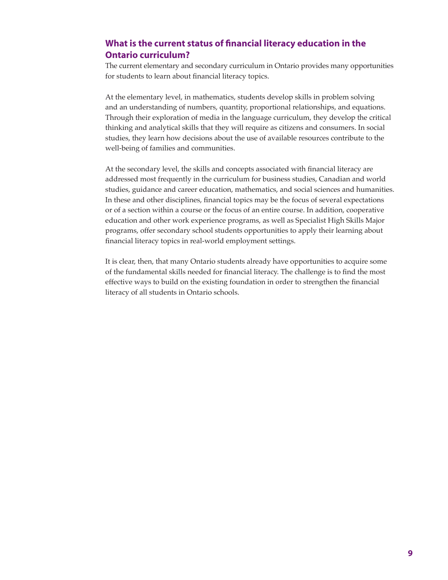# **What is the current status of financial literacy education in the Ontario curriculum?**

The current elementary and secondary curriculum in Ontario provides many opportunities for students to learn about financial literacy topics.

At the elementary level, in mathematics, students develop skills in problem solving and an understanding of numbers, quantity, proportional relationships, and equations. Through their exploration of media in the language curriculum, they develop the critical thinking and analytical skills that they will require as citizens and consumers. In social studies, they learn how decisions about the use of available resources contribute to the well-being of families and communities.

At the secondary level, the skills and concepts associated with financial literacy are addressed most frequently in the curriculum for business studies, Canadian and world studies, guidance and career education, mathematics, and social sciences and humanities. In these and other disciplines, financial topics may be the focus of several expectations or of a section within a course or the focus of an entire course. In addition, cooperative education and other work experience programs, as well as Specialist High Skills Major programs, offer secondary school students opportunities to apply their learning about financial literacy topics in real-world employment settings.

It is clear, then, that many Ontario students already have opportunities to acquire some of the fundamental skills needed for financial literacy. The challenge is to find the most effective ways to build on the existing foundation in order to strengthen the financial literacy of all students in Ontario schools.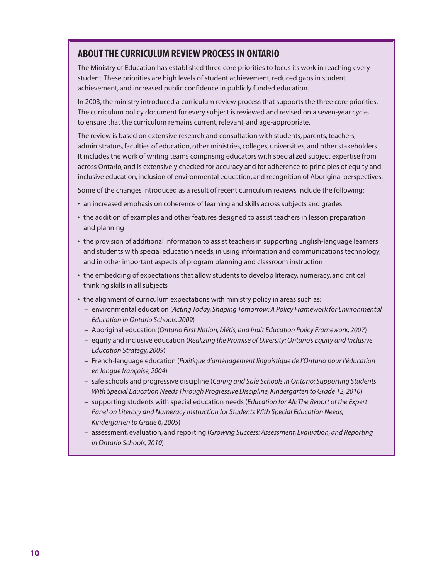# About the curriculum review process in Ontario

The Ministry of Education has established three core priorities to focus its work in reaching every student.These priorities are high levels of student achievement, reduced gaps in student achievement, and increased public confidence in publicly funded education.

In 2003, the ministry introduced a curriculum review process that supports the three core priorities. The curriculum policy document for every subject is reviewed and revised on a seven-year cycle, to ensure that the curriculum remains current, relevant, and age-appropriate.

The review is based on extensive research and consultation with students, parents, teachers, administrators, faculties of education, other ministries, colleges, universities, and other stakeholders. It includes the work of writing teams comprising educators with specialized subject expertise from across Ontario, and is extensively checked for accuracy and for adherence to principles of equity and inclusive education, inclusion of environmental education, and recognition of Aboriginal perspectives.

Some of the changes introduced as a result of recent curriculum reviews include the following:

- an increased emphasis on coherence of learning and skills across subjects and grades
- the addition of examples and other features designed to assist teachers in lesson preparation and planning
- the provision of additional information to assist teachers in supporting English-language learners and students with special education needs, in using information and communications technology, and in other important aspects of program planning and classroom instruction
- the embedding of expectations that allow students to develop literacy, numeracy, and critical thinking skills in all subjects
- the alignment of curriculum expectations with ministry policy in areas such as:
	- environmental education (*Acting Today, Shaping Tomorrow: A Policy Framework for Environmental Education in Ontario Schools, 2009*)
	- Aboriginal education (*Ontario First Nation, Métis, and Inuit Education Policy Framework, 2007*)
	- equity and inclusive education (*Realizing the Promise of Diversity: Ontario's Equity and Inclusive Education Strategy, 2009*)
	- French-language education (*Politique d'aménagement linguistique de l'Ontario pour l'éducation en langue française, 2004*)
	- safe schools and progressive discipline (*Caring and Safe Schools in Ontario: Supporting Students With Special Education Needs Through Progressive Discipline, Kindergarten to Grade 12, 2010*)
	- supporting students with special education needs (*Education for All: The Report of the Expert Panel on Literacy and Numeracy Instruction for Students With Special Education Needs, Kindergarten to Grade 6, 2005*)
	- assessment, evaluation, and reporting (*Growing Success: Assessment, Evaluation, and Reporting in Ontario Schools, 2010*)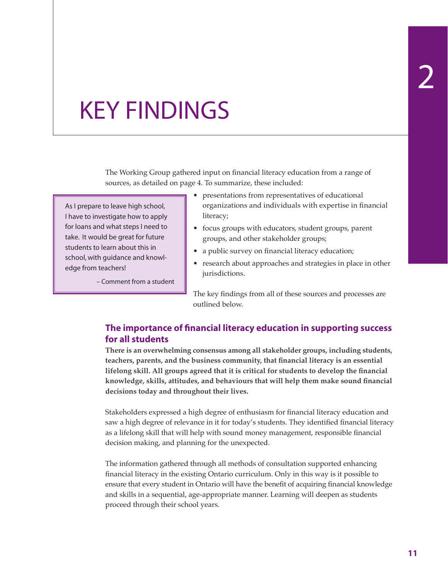# KEY FINDINGS

The Working Group gathered input on financial literacy education from a range of sources, as detailed on page 4. To summarize, these included:

As I prepare to leave high school, I have to investigate how to apply for loans and what steps I need to take. It would be great for future students to learn about this in school, with guidance and knowledge from teachers!

– Comment from a student

- presentations from representatives of educational organizations and individuals with expertise in financial literacy;
- focus groups with educators, student groups, parent groups, and other stakeholder groups;
- a public survey on financial literacy education;
- research about approaches and strategies in place in other jurisdictions.

The key findings from all of these sources and processes are outlined below.

# **The importance of financial literacy education in supporting success for all students**

**There is an overwhelming consensus among all stakeholder groups, including students, teachers, parents, and the business community, that financial literacy is an essential lifelong skill. All groups agreed that it is critical for students to develop the financial knowledge, skills, attitudes, and behaviours that will help them make sound financial decisions today and throughout their lives.**

Stakeholders expressed a high degree of enthusiasm for financial literacy education and saw a high degree of relevance in it for today's students. They identified financial literacy as a lifelong skill that will help with sound money management, responsible financial decision making, and planning for the unexpected.

The information gathered through all methods of consultation supported enhancing financial literacy in the existing Ontario curriculum. Only in this way is it possible to ensure that every student in Ontario will have the benefit of acquiring financial knowledge and skills in a sequential, age-appropriate manner. Learning will deepen as students proceed through their school years.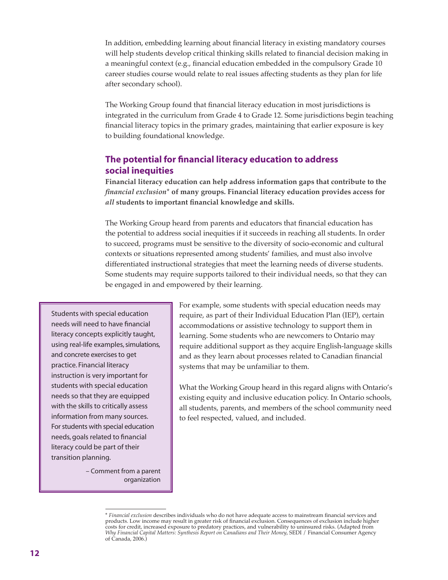In addition, embedding learning about financial literacy in existing mandatory courses will help students develop critical thinking skills related to financial decision making in a meaningful context (e.g., financial education embedded in the compulsory Grade 10 career studies course would relate to real issues affecting students as they plan for life after secondary school).

The Working Group found that financial literacy education in most jurisdictions is integrated in the curriculum from Grade 4 to Grade 12. Some jurisdictions begin teaching financial literacy topics in the primary grades, maintaining that earlier exposure is key to building foundational knowledge.

## **The potential for financial literacy education to address social inequities**

**Financial literacy education can help address information gaps that contribute to the**  *financial exclusion***\* of many groups. Financial literacy education provides access for**  *all* **students to important financial knowledge and skills.**

The Working Group heard from parents and educators that financial education has the potential to address social inequities if it succeeds in reaching all students. In order to succeed, programs must be sensitive to the diversity of socio-economic and cultural contexts or situations represented among students' families, and must also involve differentiated instructional strategies that meet the learning needs of diverse students. Some students may require supports tailored to their individual needs, so that they can be engaged in and empowered by their learning.

Students with special education needs will need to have financial literacy concepts explicitly taught, using real-life examples, simulations, and concrete exercises to get practice. Financial literacy instruction is very important for students with special education needs so that they are equipped with the skills to critically assess information from many sources. For students with special education needs, goals related to financial literacy could be part of their transition planning.

> – Comment from a parent organization

For example, some students with special education needs may require, as part of their Individual Education Plan (IEP), certain accommodations or assistive technology to support them in learning. Some students who are newcomers to Ontario may require additional support as they acquire English-language skills and as they learn about processes related to Canadian financial systems that may be unfamiliar to them.

What the Working Group heard in this regard aligns with Ontario's existing equity and inclusive education policy. In Ontario schools, all students, parents, and members of the school community need to feel respected, valued, and included.

<sup>\*</sup> *Financial exclusion* describes individuals who do not have adequate access to mainstream financial services and products. Low income may result in greater risk of financial exclusion. Consequences of exclusion include higher costs for credit, increased exposure to predatory practices, and vulnerability to uninsured risks. (Adapted from *Why Financial Capital Matters: Synthesis Report on Canadians and Their Money*, SEDI / Financial Consumer Agency of Canada, 2006.)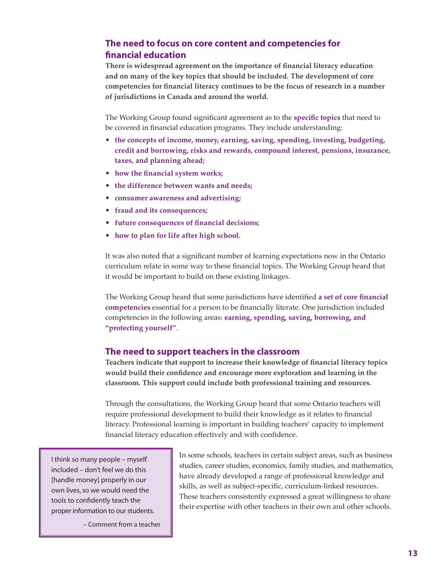# **The need to focus on core content and competencies for financial education**

**There is widespread agreement on the importance of financial literacy education and on many of the key topics that should be included. The development of core competencies for financial literacy continues to be the focus of research in a number of jurisdictions in Canada and around the world.**

The Working Group found significant agreement as to the **specific topics** that need to be covered in financial education programs. They include understanding:

- **the concepts of income, money, earning, saving, spending, investing, budgeting, credit and borrowing, risks and rewards, compound interest, pensions, insurance, taxes, and planning ahead;**
- **how the financial system works;**
- **the difference between wants and needs;**
- **consumer awareness and advertising;**
- **fraud and its consequences;**
- **future consequences of financial decisions;**
- **how to plan for life after high school.**

It was also noted that a significant number of learning expectations now in the Ontario curriculum relate in some way to these financial topics. The Working Group heard that it would be important to build on these existing linkages.

The Working Group heard that some jurisdictions have identified **a set of core financial competencies** essential for a person to be financially literate. One jurisdiction included competencies in the following areas: **earning, spending, saving, borrowing, and "protecting yourself"**.

## **The need to support teachers in the classroom**

**Teachers indicate that support to increase their knowledge of financial literacy topics would build their confidence and encourage more exploration and learning in the classroom. This support could include both professional training and resources.**

Through the consultations, the Working Group heard that some Ontario teachers will require professional development to build their knowledge as it relates to financial literacy. Professional learning is important in building teachers' capacity to implement financial literacy education effectively and with confidence.

I think so many people – myself included – don't feel we do this [handle money] properly in our own lives, so we would need the tools to confidently teach the proper information to our students.

– Comment from a teacher

In some schools, teachers in certain subject areas, such as business studies, career studies, economics, family studies, and mathematics, have already developed a range of professional knowledge and skills, as well as subject-specific, curriculum-linked resources. These teachers consistently expressed a great willingness to share their expertise with other teachers in their own and other schools.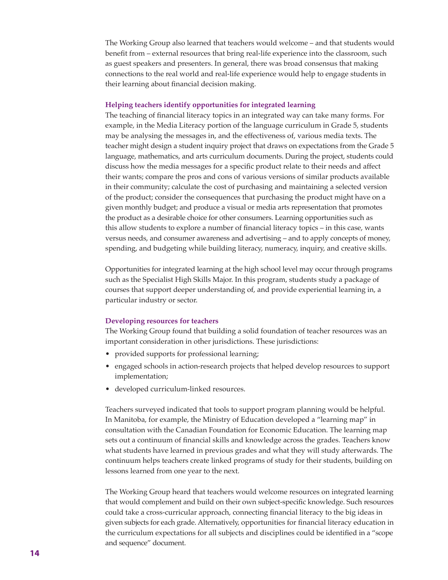The Working Group also learned that teachers would welcome – and that students would benefit from – external resources that bring real-life experience into the classroom, such as guest speakers and presenters. In general, there was broad consensus that making connections to the real world and real-life experience would help to engage students in their learning about financial decision making.

### **Helping teachers identify opportunities for integrated learning**

The teaching of financial literacy topics in an integrated way can take many forms. For example, in the Media Literacy portion of the language curriculum in Grade 5, students may be analysing the messages in, and the effectiveness of, various media texts. The teacher might design a student inquiry project that draws on expectations from the Grade 5 language, mathematics, and arts curriculum documents. During the project, students could discuss how the media messages for a specific product relate to their needs and affect their wants; compare the pros and cons of various versions of similar products available in their community; calculate the cost of purchasing and maintaining a selected version of the product; consider the consequences that purchasing the product might have on a given monthly budget; and produce a visual or media arts representation that promotes the product as a desirable choice for other consumers. Learning opportunities such as this allow students to explore a number of financial literacy topics – in this case, wants versus needs, and consumer awareness and advertising – and to apply concepts of money, spending, and budgeting while building literacy, numeracy, inquiry, and creative skills.

Opportunities for integrated learning at the high school level may occur through programs such as the Specialist High Skills Major. In this program, students study a package of courses that support deeper understanding of, and provide experiential learning in, a particular industry or sector.

#### **Developing resources for teachers**

The Working Group found that building a solid foundation of teacher resources was an important consideration in other jurisdictions. These jurisdictions:

- provided supports for professional learning;
- engaged schools in action-research projects that helped develop resources to support implementation;
- developed curriculum-linked resources.

Teachers surveyed indicated that tools to support program planning would be helpful. In Manitoba, for example, the Ministry of Education developed a "learning map" in consultation with the Canadian Foundation for Economic Education. The learning map sets out a continuum of financial skills and knowledge across the grades. Teachers know what students have learned in previous grades and what they will study afterwards. The continuum helps teachers create linked programs of study for their students, building on lessons learned from one year to the next.

The Working Group heard that teachers would welcome resources on integrated learning that would complement and build on their own subject-specific knowledge. Such resources could take a cross-curricular approach, connecting financial literacy to the big ideas in given subjects for each grade. Alternatively, opportunities for financial literacy education in the curriculum expectations for all subjects and disciplines could be identified in a "scope and sequence" document.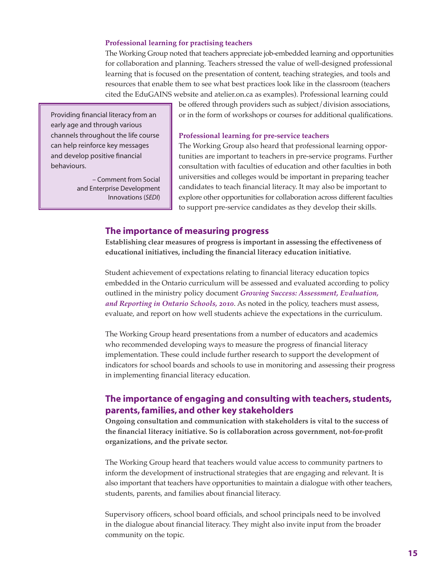#### **Professional learning for practising teachers**

The Working Group noted that teachers appreciate job-embedded learning and opportunities for collaboration and planning. Teachers stressed the value of well-designed professional learning that is focused on the presentation of content, teaching strategies, and tools and resources that enable them to see what best practices look like in the classroom (teachers cited the EduGAINS website and atelier.on.ca as examples). Professional learning could

Providing financial literacy from an early age and through various channels throughout the life course can help reinforce key messages and develop positive financial behaviours.

> – Comment from Social and Enterprise Development Innovations (*SEDI*)

be offered through providers such as subject/division associations, or in the form of workshops or courses for additional qualifications.

#### **Professional learning for pre-service teachers**

The Working Group also heard that professional learning opportunities are important to teachers in pre-service programs. Further consultation with faculties of education and other faculties in both universities and colleges would be important in preparing teacher candidates to teach financial literacy. It may also be important to explore other opportunities for collaboration across different faculties to support pre-service candidates as they develop their skills.

### **The importance of measuring progress**

**Establishing clear measures of progress is important in assessing the effectiveness of educational initiatives, including the financial literacy education initiative.** 

Student achievement of expectations relating to financial literacy education topics embedded in the Ontario curriculum will be assessed and evaluated according to policy outlined in the ministry policy document *Growing Success: Assessment, Evaluation, and Reporting in Ontario Schools, 2010*. As noted in the policy, teachers must assess, evaluate, and report on how well students achieve the expectations in the curriculum.

The Working Group heard presentations from a number of educators and academics who recommended developing ways to measure the progress of financial literacy implementation. These could include further research to support the development of indicators for school boards and schools to use in monitoring and assessing their progress in implementing financial literacy education.

## **The importance of engaging and consulting with teachers, students, parents, families, and other key stakeholders**

**Ongoing consultation and communication with stakeholders is vital to the success of the financial literacy initiative. So is collaboration across government, not-for-profit organizations, and the private sector.**

The Working Group heard that teachers would value access to community partners to inform the development of instructional strategies that are engaging and relevant. It is also important that teachers have opportunities to maintain a dialogue with other teachers, students, parents, and families about financial literacy.

Supervisory officers, school board officials, and school principals need to be involved in the dialogue about financial literacy. They might also invite input from the broader community on the topic.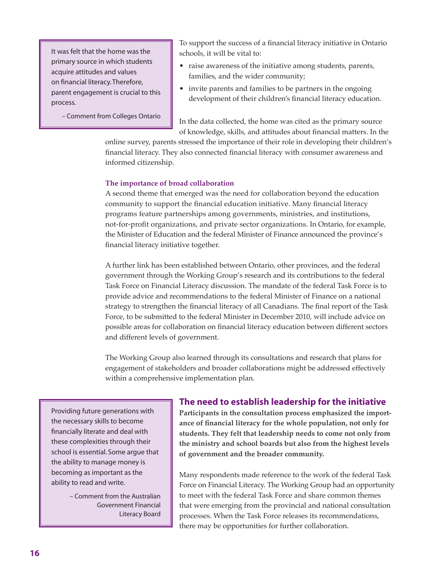It was felt that the home was the primary source in which students acquire attitudes and values on financial literacy.Therefore, parent engagement is crucial to this process.

– Comment from Colleges Ontario

To support the success of a financial literacy initiative in Ontario schools, it will be vital to:

- raise awareness of the initiative among students, parents, families, and the wider community;
- invite parents and families to be partners in the ongoing development of their children's financial literacy education.

In the data collected, the home was cited as the primary source of knowledge, skills, and attitudes about financial matters. In the

online survey, parents stressed the importance of their role in developing their children's financial literacy. They also connected financial literacy with consumer awareness and informed citizenship.

### **The importance of broad collaboration**

A second theme that emerged was the need for collaboration beyond the education community to support the financial education initiative. Many financial literacy programs feature partnerships among governments, ministries, and institutions, not-for-profit organizations, and private sector organizations. In Ontario, for example, the Minister of Education and the federal Minister of Finance announced the province's financial literacy initiative together.

A further link has been established between Ontario, other provinces, and the federal government through the Working Group's research and its contributions to the federal Task Force on Financial Literacy discussion. The mandate of the federal Task Force is to provide advice and recommendations to the federal Minister of Finance on a national strategy to strengthen the financial literacy of all Canadians. The final report of the Task Force, to be submitted to the federal Minister in December 2010, will include advice on possible areas for collaboration on financial literacy education between different sectors and different levels of government.

The Working Group also learned through its consultations and research that plans for engagement of stakeholders and broader collaborations might be addressed effectively within a comprehensive implementation plan.

Providing future generations with the necessary skills to become financially literate and deal with these complexities through their school is essential. Some argue that the ability to manage money is becoming as important as the ability to read and write.

> – Comment from the Australian Government Financial Literacy Board

### **The need to establish leadership for the initiative**

**Participants in the consultation process emphasized the importance of financial literacy for the whole population, not only for students. They felt that leadership needs to come not only from the ministry and school boards but also from the highest levels of government and the broader community.**

Many respondents made reference to the work of the federal Task Force on Financial Literacy. The Working Group had an opportunity to meet with the federal Task Force and share common themes that were emerging from the provincial and national consultation processes. When the Task Force releases its recommendations, there may be opportunities for further collaboration.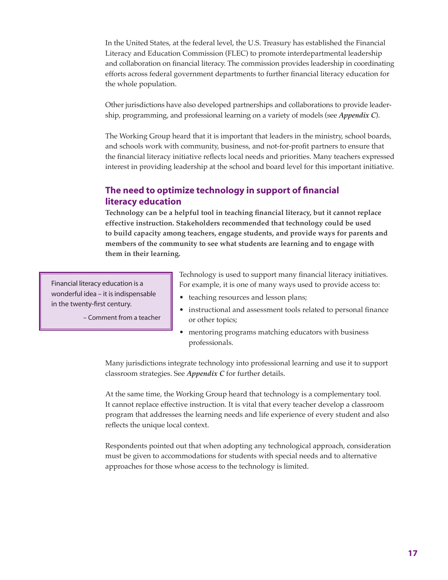In the United States, at the federal level, the U.S. Treasury has established the Financial Literacy and Education Commission (FLEC) to promote interdepartmental leadership and collaboration on financial literacy. The commission provides leadership in coordinating efforts across federal government departments to further financial literacy education for the whole population.

Other jurisdictions have also developed partnerships and collaborations to provide leadership, programming, and professional learning on a variety of models (see *Appendix C*).

The Working Group heard that it is important that leaders in the ministry, school boards, and schools work with community, business, and not-for-profit partners to ensure that the financial literacy initiative reflects local needs and priorities. Many teachers expressed interest in providing leadership at the school and board level for this important initiative.

# **The need to optimize technology in support of financial literacy education**

**Technology can be a helpful tool in teaching financial literacy, but it cannot replace effective instruction. Stakeholders recommended that technology could be used to build capacity among teachers, engage students, and provide ways for parents and members of the community to see what students are learning and to engage with them in their learning.**

Financial literacy education is a wonderful idea – it is indispensable in the twenty-first century.

– Comment from a teacher

Technology is used to support many financial literacy initiatives. For example, it is one of many ways used to provide access to:

- teaching resources and lesson plans;
- instructional and assessment tools related to personal finance or other topics;
- mentoring programs matching educators with business professionals.

Many jurisdictions integrate technology into professional learning and use it to support classroom strategies. See *Appendix C* for further details.

At the same time, the Working Group heard that technology is a complementary tool. It cannot replace effective instruction. It is vital that every teacher develop a classroom program that addresses the learning needs and life experience of every student and also reflects the unique local context.

Respondents pointed out that when adopting any technological approach, consideration must be given to accommodations for students with special needs and to alternative approaches for those whose access to the technology is limited.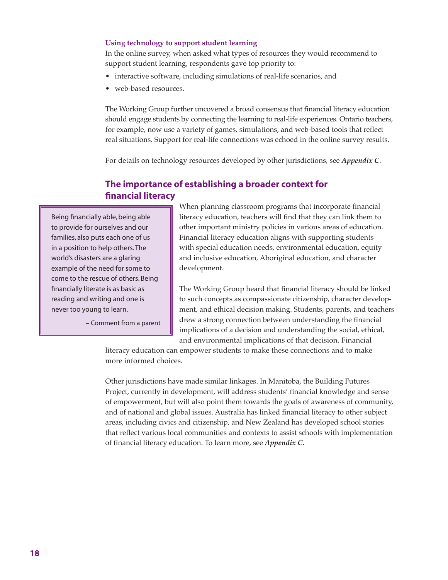### **Using technology to support student learning**

In the online survey, when asked what types of resources they would recommend to support student learning, respondents gave top priority to:

- interactive software, including simulations of real-life scenarios, and
- web-based resources.

The Working Group further uncovered a broad consensus that financial literacy education should engage students by connecting the learning to real-life experiences. Ontario teachers, for example, now use a variety of games, simulations, and web-based tools that reflect real situations. Support for real-life connections was echoed in the online survey results.

For details on technology resources developed by other jurisdictions, see *Appendix C*.

## **The importance of establishing a broader context for financial literacy**

Being financially able, being able to provide for ourselves and our families, also puts each one of us in a position to help others.The world's disasters are a glaring example of the need for some to come to the rescue of others. Being financially literate is as basic as reading and writing and one is never too young to learn.

– Comment from a parent

When planning classroom programs that incorporate financial literacy education, teachers will find that they can link them to other important ministry policies in various areas of education. Financial literacy education aligns with supporting students with special education needs, environmental education, equity and inclusive education, Aboriginal education, and character development.

The Working Group heard that financial literacy should be linked to such concepts as compassionate citizenship, character development, and ethical decision making. Students, parents, and teachers drew a strong connection between understanding the financial implications of a decision and understanding the social, ethical, and environmental implications of that decision. Financial

literacy education can empower students to make these connections and to make more informed choices.

Other jurisdictions have made similar linkages. In Manitoba, the Building Futures Project, currently in development, will address students' financial knowledge and sense of empowerment, but will also point them towards the goals of awareness of community, and of national and global issues. Australia has linked financial literacy to other subject areas, including civics and citizenship, and New Zealand has developed school stories that reflect various local communities and contexts to assist schools with implementation of financial literacy education. To learn more, see *Appendix C*.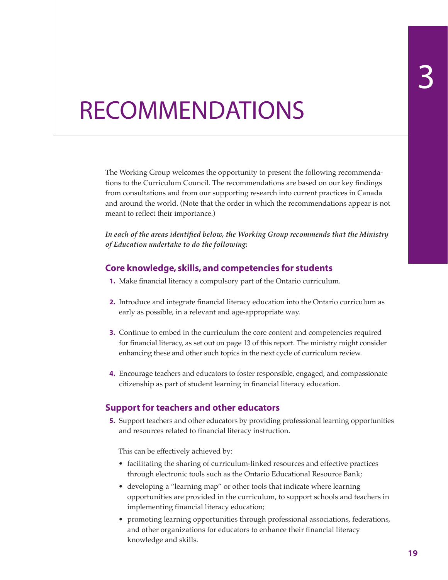# RECOMMENDATIONS

The Working Group welcomes the opportunity to present the following recommendations to the Curriculum Council. The recommendations are based on our key findings from consultations and from our supporting research into current practices in Canada and around the world. (Note that the order in which the recommendations appear is not meant to reflect their importance.)

*In each of the areas identified below, the Working Group recommends that the Ministry of Education undertake to do the following:*

## **Core knowledge, skills, and competencies for students**

- **1.** Make financial literacy a compulsory part of the Ontario curriculum.
- **2.** Introduce and integrate financial literacy education into the Ontario curriculum as early as possible, in a relevant and age-appropriate way.
- **3.** Continue to embed in the curriculum the core content and competencies required for financial literacy, as set out on page 13 of this report. The ministry might consider enhancing these and other such topics in the next cycle of curriculum review.
- **4.** Encourage teachers and educators to foster responsible, engaged, and compassionate citizenship as part of student learning in financial literacy education.

## **Support for teachers and other educators**

**5.** Support teachers and other educators by providing professional learning opportunities and resources related to financial literacy instruction.

This can be effectively achieved by:

- facilitating the sharing of curriculum-linked resources and effective practices through electronic tools such as the Ontario Educational Resource Bank;
- developing a "learning map" or other tools that indicate where learning opportunities are provided in the curriculum, to support schools and teachers in implementing financial literacy education;
- promoting learning opportunities through professional associations, federations, and other organizations for educators to enhance their financial literacy knowledge and skills.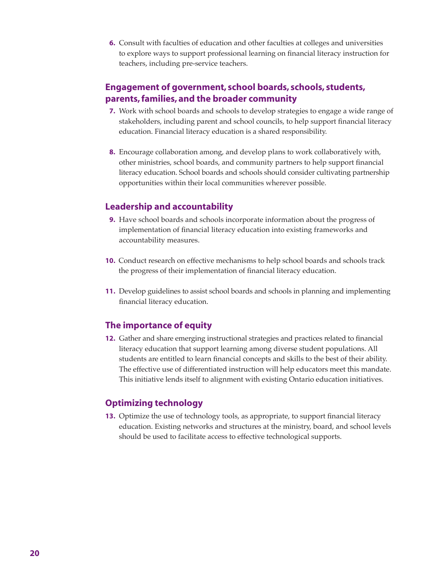**6.** Consult with faculties of education and other faculties at colleges and universities to explore ways to support professional learning on financial literacy instruction for teachers, including pre-service teachers.

## **Engagement of government, school boards, schools, students, parents, families, and the broader community**

- **7.** Work with school boards and schools to develop strategies to engage a wide range of stakeholders, including parent and school councils, to help support financial literacy education. Financial literacy education is a shared responsibility.
- **8.** Encourage collaboration among, and develop plans to work collaboratively with, other ministries, school boards, and community partners to help support financial literacy education. School boards and schools should consider cultivating partnership opportunities within their local communities wherever possible.

## **Leadership and accountability**

- **9.** Have school boards and schools incorporate information about the progress of implementation of financial literacy education into existing frameworks and accountability measures.
- **10.** Conduct research on effective mechanisms to help school boards and schools track the progress of their implementation of financial literacy education.
- **11.** Develop guidelines to assist school boards and schools in planning and implementing financial literacy education.

# **The importance of equity**

**12.** Gather and share emerging instructional strategies and practices related to financial literacy education that support learning among diverse student populations. All students are entitled to learn financial concepts and skills to the best of their ability. The effective use of differentiated instruction will help educators meet this mandate. This initiative lends itself to alignment with existing Ontario education initiatives.

## **Optimizing technology**

**13.** Optimize the use of technology tools, as appropriate, to support financial literacy education. Existing networks and structures at the ministry, board, and school levels should be used to facilitate access to effective technological supports.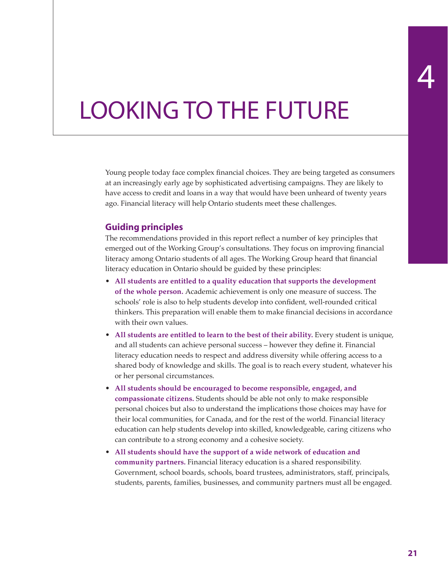# LOOKING TO THE FUTURE

Young people today face complex financial choices. They are being targeted as consumers at an increasingly early age by sophisticated advertising campaigns. They are likely to have access to credit and loans in a way that would have been unheard of twenty years ago. Financial literacy will help Ontario students meet these challenges.

## **Guiding principles**

The recommendations provided in this report reflect a number of key principles that emerged out of the Working Group's consultations. They focus on improving financial literacy among Ontario students of all ages. The Working Group heard that financial literacy education in Ontario should be guided by these principles:

- **All students are entitled to a quality education that supports the development of the whole person.** Academic achievement is only one measure of success. The schools' role is also to help students develop into confident, well-rounded critical thinkers. This preparation will enable them to make financial decisions in accordance with their own values.
- **All students are entitled to learn to the best of their ability.** Every student is unique, and all students can achieve personal success – however they define it. Financial literacy education needs to respect and address diversity while offering access to a shared body of knowledge and skills. The goal is to reach every student, whatever his or her personal circumstances.
- **All students should be encouraged to become responsible, engaged, and compassionate citizens.** Students should be able not only to make responsible personal choices but also to understand the implications those choices may have for their local communities, for Canada, and for the rest of the world. Financial literacy education can help students develop into skilled, knowledgeable, caring citizens who can contribute to a strong economy and a cohesive society.
- **All students should have the support of a wide network of education and community partners.** Financial literacy education is a shared responsibility. Government, school boards, schools, board trustees, administrators, staff, principals, students, parents, families, businesses, and community partners must all be engaged.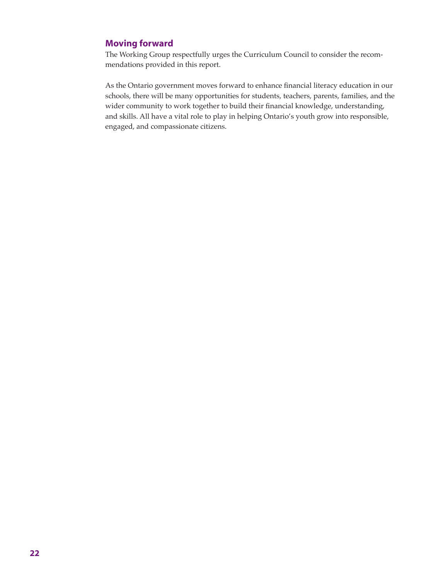## **Moving forward**

The Working Group respectfully urges the Curriculum Council to consider the recommendations provided in this report.

As the Ontario government moves forward to enhance financial literacy education in our schools, there will be many opportunities for students, teachers, parents, families, and the wider community to work together to build their financial knowledge, understanding, and skills. All have a vital role to play in helping Ontario's youth grow into responsible, engaged, and compassionate citizens.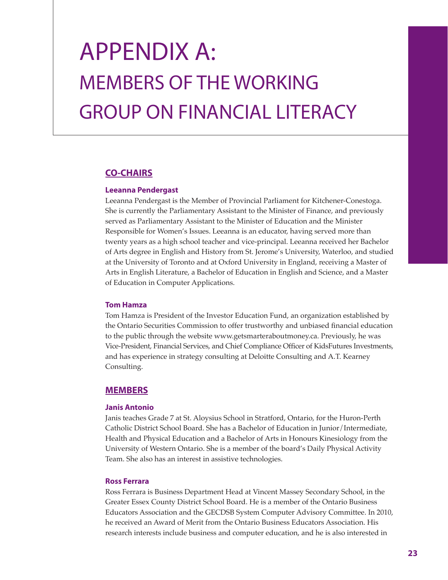# Appendix A: Members of the Working Group on Financial Literacy

## **CO-CHAIRS**

### **Leeanna Pendergast**

Leeanna Pendergast is the Member of Provincial Parliament for Kitchener-Conestoga. She is currently the Parliamentary Assistant to the Minister of Finance, and previously served as Parliamentary Assistant to the Minister of Education and the Minister Responsible for Women's Issues. Leeanna is an educator, having served more than twenty years as a high school teacher and vice-principal. Leeanna received her Bachelor of Arts degree in English and History from St. Jerome's University, Waterloo, and studied at the University of Toronto and at Oxford University in England, receiving a Master of Arts in English Literature, a Bachelor of Education in English and Science, and a Master of Education in Computer Applications.

### **Tom Hamza**

Tom Hamza is President of the Investor Education Fund, an organization established by the Ontario Securities Commission to offer trustworthy and unbiased financial education to the public through the website www.getsmarteraboutmoney.ca. Previously, he was Vice-President, Financial Services, and Chief Compliance Officer of KidsFutures Investments, and has experience in strategy consulting at Deloitte Consulting and A.T. Kearney Consulting.

### **MEMBERS**

### **Janis Antonio**

Janis teaches Grade 7 at St. Aloysius School in Stratford, Ontario, for the Huron-Perth Catholic District School Board. She has a Bachelor of Education in Junior/Intermediate, Health and Physical Education and a Bachelor of Arts in Honours Kinesiology from the University of Western Ontario. She is a member of the board's Daily Physical Activity Team. She also has an interest in assistive technologies.

### **Ross Ferrara**

Ross Ferrara is Business Department Head at Vincent Massey Secondary School, in the Greater Essex County District School Board. He is a member of the Ontario Business Educators Association and the GECDSB System Computer Advisory Committee. In 2010, he received an Award of Merit from the Ontario Business Educators Association. His research interests include business and computer education, and he is also interested in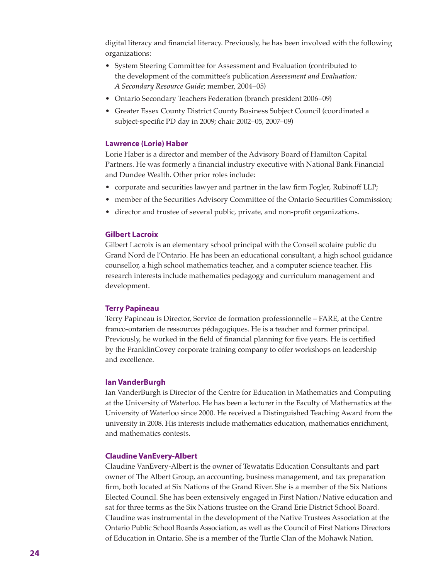digital literacy and financial literacy. Previously, he has been involved with the following organizations:

- System Steering Committee for Assessment and Evaluation (contributed to the development of the committee's publication *Assessment and Evaluation: A Secondary Resource Guide*; member, 2004–05)
- Ontario Secondary Teachers Federation (branch president 2006–09)
- Greater Essex County District County Business Subject Council (coordinated a subject-specific PD day in 2009; chair 2002–05, 2007–09)

#### **Lawrence (Lorie) Haber**

Lorie Haber is a director and member of the Advisory Board of Hamilton Capital Partners. He was formerly a financial industry executive with National Bank Financial and Dundee Wealth. Other prior roles include:

- corporate and securities lawyer and partner in the law firm Fogler, Rubinoff LLP;
- member of the Securities Advisory Committee of the Ontario Securities Commission;
- director and trustee of several public, private, and non-profit organizations.

#### **Gilbert Lacroix**

Gilbert Lacroix is an elementary school principal with the Conseil scolaire public du Grand Nord de l'Ontario. He has been an educational consultant, a high school guidance counsellor, a high school mathematics teacher, and a computer science teacher. His research interests include mathematics pedagogy and curriculum management and development.

### **Terry Papineau**

Terry Papineau is Director, Service de formation professionnelle – FARE, at the Centre franco-ontarien de ressources pédagogiques. He is a teacher and former principal. Previously, he worked in the field of financial planning for five years. He is certified by the FranklinCovey corporate training company to offer workshops on leadership and excellence.

#### **Ian VanderBurgh**

Ian VanderBurgh is Director of the Centre for Education in Mathematics and Computing at the University of Waterloo. He has been a lecturer in the Faculty of Mathematics at the University of Waterloo since 2000. He received a Distinguished Teaching Award from the university in 2008. His interests include mathematics education, mathematics enrichment, and mathematics contests.

#### **Claudine VanEvery-Albert**

Claudine VanEvery-Albert is the owner of Tewatatis Education Consultants and part owner of The Albert Group, an accounting, business management, and tax preparation firm, both located at Six Nations of the Grand River. She is a member of the Six Nations Elected Council. She has been extensively engaged in First Nation/Native education and sat for three terms as the Six Nations trustee on the Grand Erie District School Board. Claudine was instrumental in the development of the Native Trustees Association at the Ontario Public School Boards Association, as well as the Council of First Nations Directors of Education in Ontario. She is a member of the Turtle Clan of the Mohawk Nation.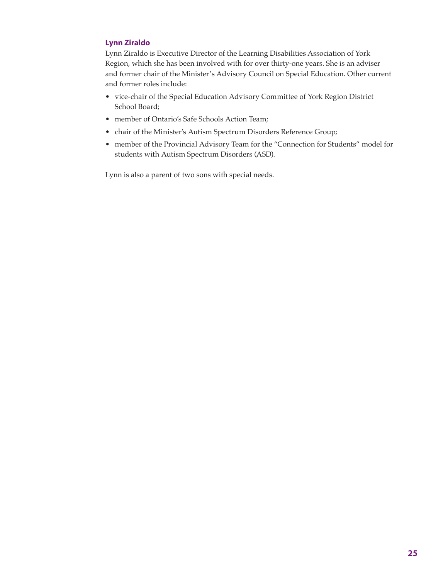### **Lynn Ziraldo**

Lynn Ziraldo is Executive Director of the Learning Disabilities Association of York Region, which she has been involved with for over thirty-one years. She is an adviser and former chair of the Minister's Advisory Council on Special Education. Other current and former roles include:

- vice-chair of the Special Education Advisory Committee of York Region District School Board;
- member of Ontario's Safe Schools Action Team;
- chair of the Minister's Autism Spectrum Disorders Reference Group;
- member of the Provincial Advisory Team for the "Connection for Students" model for students with Autism Spectrum Disorders (ASD).

Lynn is also a parent of two sons with special needs.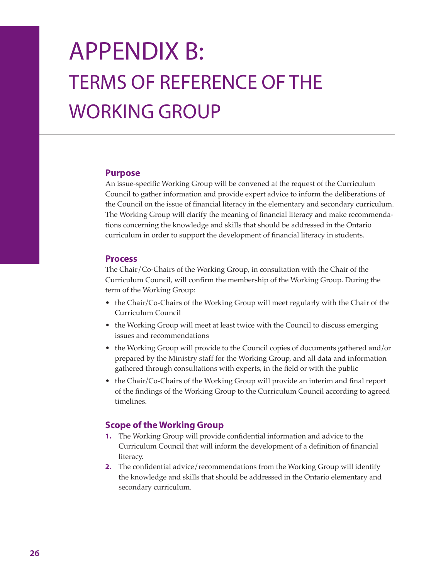# APPENDIX B: Terms of Reference of the WORKING GROUP

## **Purpose**

An issue-specific Working Group will be convened at the request of the Curriculum Council to gather information and provide expert advice to inform the deliberations of the Council on the issue of financial literacy in the elementary and secondary curriculum. The Working Group will clarify the meaning of financial literacy and make recommendations concerning the knowledge and skills that should be addressed in the Ontario curriculum in order to support the development of financial literacy in students.

## **Process**

The Chair/Co-Chairs of the Working Group, in consultation with the Chair of the Curriculum Council, will confirm the membership of the Working Group. During the term of the Working Group:

- the Chair/Co-Chairs of the Working Group will meet regularly with the Chair of the Curriculum Council
- the Working Group will meet at least twice with the Council to discuss emerging issues and recommendations
- the Working Group will provide to the Council copies of documents gathered and/or prepared by the Ministry staff for the Working Group, and all data and information gathered through consultations with experts, in the field or with the public
- the Chair/Co-Chairs of the Working Group will provide an interim and final report of the findings of the Working Group to the Curriculum Council according to agreed timelines.

## **Scope of the Working Group**

- **1.** The Working Group will provide confidential information and advice to the Curriculum Council that will inform the development of a definition of financial literacy.
- **2.** The confidential advice/recommendations from the Working Group will identify the knowledge and skills that should be addressed in the Ontario elementary and secondary curriculum.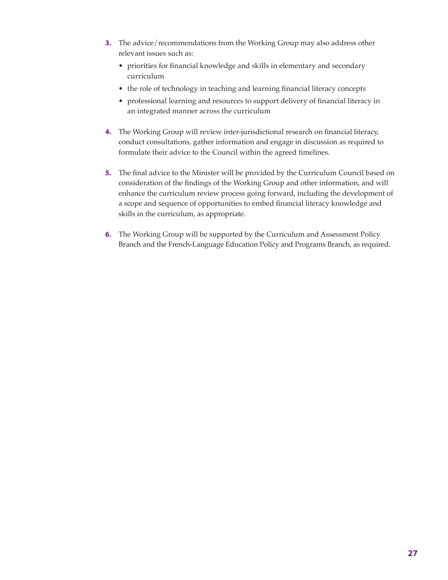- **3.** The advice/recommendations from the Working Group may also address other relevant issues such as:
	- priorities for financial knowledge and skills in elementary and secondary curriculum
	- the role of technology in teaching and learning financial literacy concepts
	- professional learning and resources to support delivery of financial literacy in an integrated manner across the curriculum
- **4.** The Working Group will review inter-jurisdictional research on financial literacy, conduct consultations, gather information and engage in discussion as required to formulate their advice to the Council within the agreed timelines.
- **5.** The final advice to the Minister will be provided by the Curriculum Council based on consideration of the findings of the Working Group and other information, and will enhance the curriculum review process going forward, including the development of a scope and sequence of opportunities to embed financial literacy knowledge and skills in the curriculum, as appropriate.
- **6.** The Working Group will be supported by the Curriculum and Assessment Policy Branch and the French-Language Education Policy and Programs Branch, as required.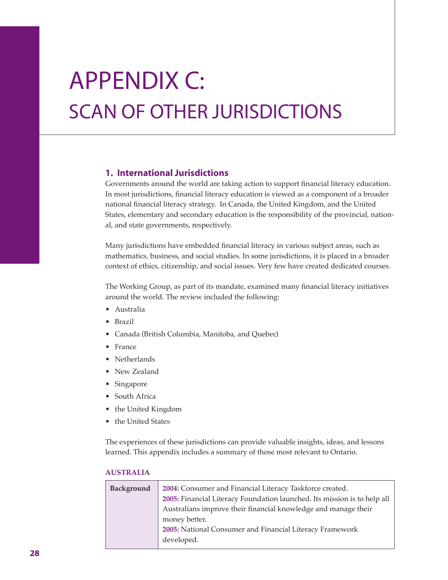# Appendix C: SCAN OF OTHER JURISDICTIONS

## **1. International Jurisdictions**

Governments around the world are taking action to support financial literacy education. In most jurisdictions, financial literacy education is viewed as a component of a broader national financial literacy strategy. In Canada, the United Kingdom, and the United States, elementary and secondary education is the responsibility of the provincial, national, and state governments, respectively.

Many jurisdictions have embedded financial literacy in various subject areas, such as mathematics, business, and social studies. In some jurisdictions, it is placed in a broader context of ethics, citizenship, and social issues. Very few have created dedicated courses.

The Working Group, as part of its mandate, examined many financial literacy initiatives around the world. The review included the following:

- Australia
- Brazil
- Canada (British Columbia, Manitoba, and Quebec)
- France
- Netherlands
- New Zealand
- Singapore
- South Africa
- the United Kingdom
- the United States

The experiences of these jurisdictions can provide valuable insights, ideas, and lessons learned. This appendix includes a summary of those most relevant to Ontario.

| Background | 2004: Consumer and Financial Literacy Taskforce created.                 |
|------------|--------------------------------------------------------------------------|
|            | 2005: Financial Literacy Foundation launched. Its mission is to help all |
|            | Australians improve their financial knowledge and manage their           |
|            | money better.                                                            |
|            | 2005: National Consumer and Financial Literacy Framework                 |
|            | developed.                                                               |
|            |                                                                          |

### **AUSTRALIA**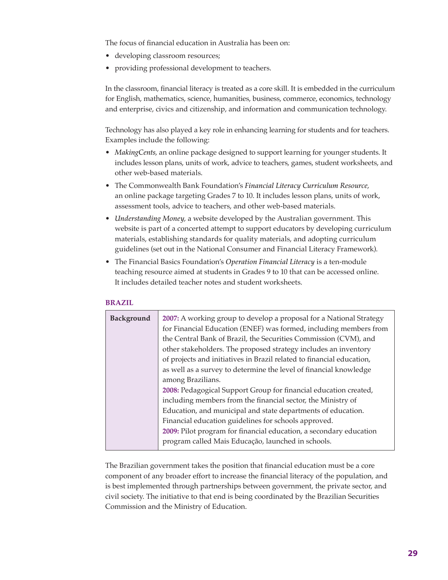The focus of financial education in Australia has been on:

- developing classroom resources;
- providing professional development to teachers.

In the classroom, financial literacy is treated as a core skill. It is embedded in the curriculum for English, mathematics, science, humanities, business, commerce, economics, technology and enterprise, civics and citizenship, and information and communication technology.

Technology has also played a key role in enhancing learning for students and for teachers. Examples include the following:

- *MakingCents*, an online package designed to support learning for younger students. It includes lesson plans, units of work, advice to teachers, games, student worksheets, and other web-based materials.
- The Commonwealth Bank Foundation's *Financial Literacy Curriculum Resource*, an online package targeting Grades 7 to 10. It includes lesson plans, units of work, assessment tools, advice to teachers, and other web-based materials.
- *Understanding Money*, a website developed by the Australian government. This website is part of a concerted attempt to support educators by developing curriculum materials, establishing standards for quality materials, and adopting curriculum guidelines (set out in the National Consumer and Financial Literacy Framework).
- The Financial Basics Foundation's *Operation Financial Literacy* is a ten-module teaching resource aimed at students in Grades 9 to 10 that can be accessed online. It includes detailed teacher notes and student worksheets.

### **BRAZIL**

| Background | 2007: A working group to develop a proposal for a National Strategy   |
|------------|-----------------------------------------------------------------------|
|            | for Financial Education (ENEF) was formed, including members from     |
|            | the Central Bank of Brazil, the Securities Commission (CVM), and      |
|            | other stakeholders. The proposed strategy includes an inventory       |
|            | of projects and initiatives in Brazil related to financial education, |
|            | as well as a survey to determine the level of financial knowledge     |
|            | among Brazilians.                                                     |
|            | 2008: Pedagogical Support Group for financial education created,      |
|            | including members from the financial sector, the Ministry of          |
|            | Education, and municipal and state departments of education.          |
|            | Financial education guidelines for schools approved.                  |
|            | 2009: Pilot program for financial education, a secondary education    |
|            | program called Mais Educação, launched in schools.                    |
|            |                                                                       |

The Brazilian government takes the position that financial education must be a core component of any broader effort to increase the financial literacy of the population, and is best implemented through partnerships between government, the private sector, and civil society. The initiative to that end is being coordinated by the Brazilian Securities Commission and the Ministry of Education.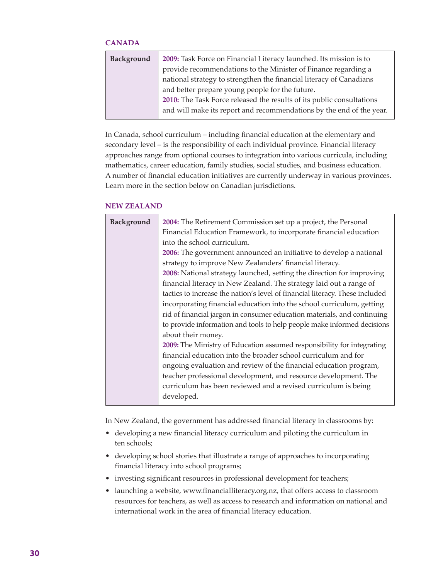### **CANADA**

| Background | 2009: Task Force on Financial Literacy launched. Its mission is to    |
|------------|-----------------------------------------------------------------------|
|            | provide recommendations to the Minister of Finance regarding a        |
|            | national strategy to strengthen the financial literacy of Canadians   |
|            | and better prepare young people for the future.                       |
|            | 2010: The Task Force released the results of its public consultations |
|            | and will make its report and recommendations by the end of the year.  |
|            |                                                                       |

In Canada, school curriculum – including financial education at the elementary and secondary level – is the responsibility of each individual province. Financial literacy approaches range from optional courses to integration into various curricula, including mathematics, career education, family studies, social studies, and business education. A number of financial education initiatives are currently underway in various provinces. Learn more in the section below on Canadian jurisdictions.

### **NEW ZEALAND**

| Background | 2004: The Retirement Commission set up a project, the Personal<br>Financial Education Framework, to incorporate financial education |
|------------|-------------------------------------------------------------------------------------------------------------------------------------|
|            | into the school curriculum.                                                                                                         |
|            | 2006: The government announced an initiative to develop a national                                                                  |
|            | strategy to improve New Zealanders' financial literacy.                                                                             |
|            | 2008: National strategy launched, setting the direction for improving                                                               |
|            | financial literacy in New Zealand. The strategy laid out a range of                                                                 |
|            | tactics to increase the nation's level of financial literacy. These included                                                        |
|            | incorporating financial education into the school curriculum, getting                                                               |
|            | rid of financial jargon in consumer education materials, and continuing                                                             |
|            | to provide information and tools to help people make informed decisions                                                             |
|            | about their money.                                                                                                                  |
|            | 2009: The Ministry of Education assumed responsibility for integrating                                                              |
|            | financial education into the broader school curriculum and for                                                                      |
|            | ongoing evaluation and review of the financial education program,                                                                   |
|            | teacher professional development, and resource development. The                                                                     |
|            | curriculum has been reviewed and a revised curriculum is being                                                                      |
|            | developed.                                                                                                                          |

In New Zealand, the government has addressed financial literacy in classrooms by:

- developing a new financial literacy curriculum and piloting the curriculum in ten schools;
- developing school stories that illustrate a range of approaches to incorporating financial literacy into school programs;
- investing significant resources in professional development for teachers;
- launching a website, www.financialliteracy.org.nz, that offers access to classroom resources for teachers, as well as access to research and information on national and international work in the area of financial literacy education.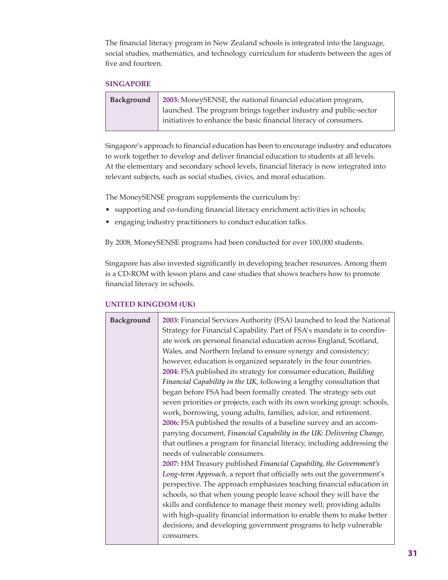The financial literacy program in New Zealand schools is integrated into the language, social studies, mathematics, and technology curriculum for students between the ages of five and fourteen.

### **SINGAPORE**

| Background | 2003: MoneySENSE, the national financial education program,       |
|------------|-------------------------------------------------------------------|
|            | launched. The program brings together industry and public-sector  |
|            | initiatives to enhance the basic financial literacy of consumers. |

Singapore's approach to financial education has been to encourage industry and educators to work together to develop and deliver financial education to students at all levels. At the elementary and secondary school levels, financial literacy is now integrated into relevant subjects, such as social studies, civics, and moral education.

The MoneySENSE program supplements the curriculum by:

- supporting and co-funding financial literacy enrichment activities in schools;
- engaging industry practitioners to conduct education talks.

By 2008, MoneySENSE programs had been conducted for over 100,000 students.

Singapore has also invested significantly in developing teacher resources. Among them is a CD-ROM with lesson plans and case studies that shows teachers how to promote financial literacy in schools.

# **Background 2003:** Financial Services Authority (FSA) launched to lead the National Strategy for Financial Capability. Part of FSA's mandate is to coordinate work on personal financial education across England, Scotland, Wales, and Northern Ireland to ensure synergy and consistency; however, education is organized separately in the four countries. **2004:** FSA published its strategy for consumer education, *Building Financial Capability in the UK*, following a lengthy consultation that began before FSA had been formally created. The strategy sets out seven priorities or projects, each with its own working group: schools, work, borrowing, young adults, families, advice, and retirement. **2006:** FSA published the results of a baseline survey and an accompanying document, *Financial Capability in the UK: Delivering Change*, that outlines a program for financial literacy, including addressing the needs of vulnerable consumers. **2007:** HM Treasury published *Financial Capability, the Government's Long-term Approach*, a report that officially sets out the government's perspective. The approach emphasizes teaching financial education in schools, so that when young people leave school they will have the skills and confidence to manage their money well; providing adults with high-quality financial information to enable them to make better decisions; and developing government programs to help vulnerable consumers.

### **UNITED KINGDOM (UK)**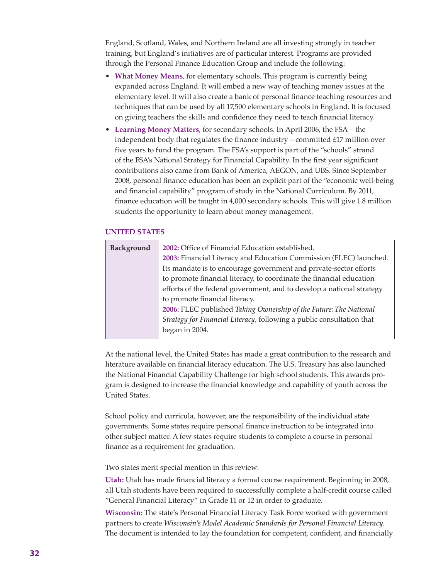England, Scotland, Wales, and Northern Ireland are all investing strongly in teacher training, but England's initiatives are of particular interest. Programs are provided through the Personal Finance Education Group and include the following:

- **What Money Means**, for elementary schools. This program is currently being expanded across England. It will embed a new way of teaching money issues at the elementary level. It will also create a bank of personal finance teaching resources and techniques that can be used by all 17,500 elementary schools in England. It is focused on giving teachers the skills and confidence they need to teach financial literacy.
- **Learning Money Matters**, for secondary schools. In April 2006, the FSA the independent body that regulates the finance industry – committed  $£17$  million over five years to fund the program. The FSA's support is part of the "schools" strand of the FSA's National Strategy for Financial Capability. In the first year significant contributions also came from Bank of America, AEGON, and UBS. Since September 2008, personal finance education has been an explicit part of the "economic well-being and financial capability" program of study in the National Curriculum. By 2011, finance education will be taught in 4,000 secondary schools. This will give 1.8 million students the opportunity to learn about money management.

#### **UNITED STATES**

| Background | 2002: Office of Financial Education established.                      |
|------------|-----------------------------------------------------------------------|
|            | 2003: Financial Literacy and Education Commission (FLEC) launched.    |
|            | Its mandate is to encourage government and private-sector efforts     |
|            | to promote financial literacy, to coordinate the financial education  |
|            | efforts of the federal government, and to develop a national strategy |
|            | to promote financial literacy.                                        |
|            | 2006: FLEC published Taking Ownership of the Future: The National     |
|            | Strategy for Financial Literacy, following a public consultation that |
|            | began in 2004.                                                        |
|            |                                                                       |

At the national level, the United States has made a great contribution to the research and literature available on financial literacy education. The U.S. Treasury has also launched the National Financial Capability Challenge for high school students. This awards program is designed to increase the financial knowledge and capability of youth across the United States.

School policy and curricula, however, are the responsibility of the individual state governments. Some states require personal finance instruction to be integrated into other subject matter. A few states require students to complete a course in personal finance as a requirement for graduation.

Two states merit special mention in this review:

**Utah:** Utah has made financial literacy a formal course requirement. Beginning in 2008, all Utah students have been required to successfully complete a half-credit course called "General Financial Literacy" in Grade 11 or 12 in order to graduate.

**Wisconsin:** The state's Personal Financial Literacy Task Force worked with government partners to create *Wisconsin's Model Academic Standards for Personal Financial Literacy*. The document is intended to lay the foundation for competent, confident, and financially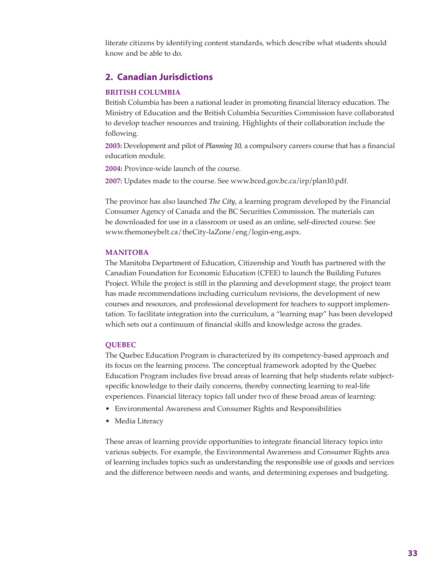literate citizens by identifying content standards, which describe what students should know and be able to do.

## **2. Canadian Jurisdictions**

### **BRITISH COLUMBIA**

British Columbia has been a national leader in promoting financial literacy education. The Ministry of Education and the British Columbia Securities Commission have collaborated to develop teacher resources and training. Highlights of their collaboration include the following.

**2003:** Development and pilot of *Planning 10*, a compulsory careers course that has a financial education module.

**2004:** Province-wide launch of the course.

**2007:** Updates made to the course. See www.bced.gov.bc.ca/irp/plan10.pdf.

The province has also launched *The City*, a learning program developed by the Financial Consumer Agency of Canada and the BC Securities Commission. The materials can be downloaded for use in a classroom or used as an online, self-directed course. See www.themoneybelt.ca/theCity-laZone/eng/login-eng.aspx.

#### **MANITOBA**

The Manitoba Department of Education, Citizenship and Youth has partnered with the Canadian Foundation for Economic Education (CFEE) to launch the Building Futures Project. While the project is still in the planning and development stage, the project team has made recommendations including curriculum revisions, the development of new courses and resources, and professional development for teachers to support implementation. To facilitate integration into the curriculum, a "learning map" has been developed which sets out a continuum of financial skills and knowledge across the grades.

#### **QUEBEC**

The Quebec Education Program is characterized by its competency-based approach and its focus on the learning process. The conceptual framework adopted by the Quebec Education Program includes five broad areas of learning that help students relate subjectspecific knowledge to their daily concerns, thereby connecting learning to real-life experiences. Financial literacy topics fall under two of these broad areas of learning:

- Environmental Awareness and Consumer Rights and Responsibilities
- Media Literacy

These areas of learning provide opportunities to integrate financial literacy topics into various subjects. For example, the Environmental Awareness and Consumer Rights area of learning includes topics such as understanding the responsible use of goods and services and the difference between needs and wants, and determining expenses and budgeting.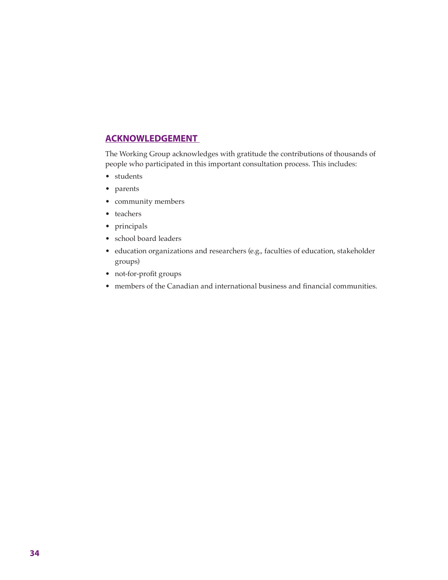# **ACKNOWLEDGEMENT**

The Working Group acknowledges with gratitude the contributions of thousands of people who participated in this important consultation process. This includes:

- students
- parents
- community members
- teachers
- principals
- school board leaders
- education organizations and researchers (e.g., faculties of education, stakeholder groups)
- not-for-profit groups
- members of the Canadian and international business and financial communities.